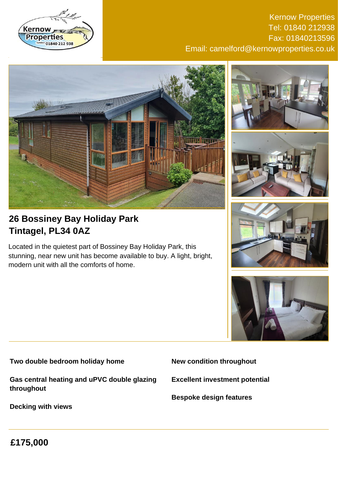

Kernow Properties Tel: 01840 212938 Fax: 01840213596 Email: camelford@kernowproperties.co.uk





Located in the quietest part of Bossiney Bay Holiday Park, this stunning, near new unit has become available to buy. A light, bright, modern unit with all the comforts of home.









**Two double bedroom holiday home**

**Gas central heating and uPVC double glazing throughout**

**Decking with views**

**New condition throughout**

**Excellent investment potential**

**Bespoke design features**

**£175,000**